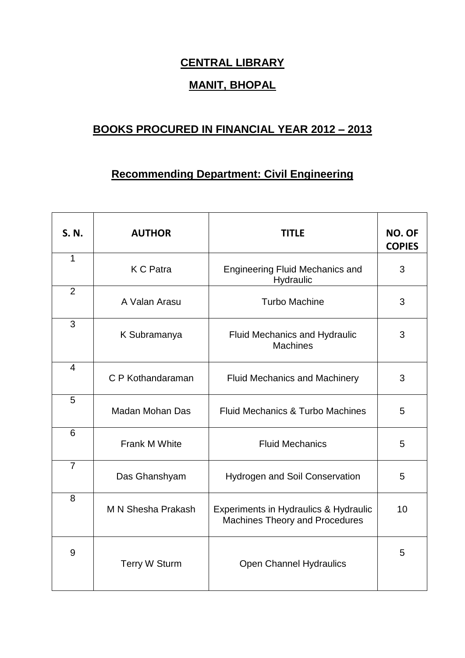## **CENTRAL LIBRARY**

## **MANIT, BHOPAL**

## **BOOKS PROCURED IN FINANCIAL YEAR 2012 – 2013**

## **Recommending Department: Civil Engineering**

| S. N.          | <b>AUTHOR</b>             | <b>TITLE</b>                                                                              | <b>NO. OF</b><br><b>COPIES</b> |
|----------------|---------------------------|-------------------------------------------------------------------------------------------|--------------------------------|
| $\mathbf{1}$   | <b>K C Patra</b>          | <b>Engineering Fluid Mechanics and</b><br>Hydraulic                                       | 3                              |
| $\overline{2}$ | A Valan Arasu             | <b>Turbo Machine</b>                                                                      | 3                              |
| 3              | K Subramanya              | <b>Fluid Mechanics and Hydraulic</b><br><b>Machines</b>                                   | 3                              |
| $\overline{4}$ | C P Kothandaraman         | <b>Fluid Mechanics and Machinery</b>                                                      | 3                              |
| 5              | Madan Mohan Das           | <b>Fluid Mechanics &amp; Turbo Machines</b>                                               | 5                              |
| 6              | Frank M White             | <b>Fluid Mechanics</b>                                                                    | 5                              |
| $\overline{7}$ | Das Ghanshyam             | <b>Hydrogen and Soil Conservation</b>                                                     | 5                              |
| 8              | <b>M N Shesha Prakash</b> | <b>Experiments in Hydraulics &amp; Hydraulic</b><br><b>Machines Theory and Procedures</b> | 10                             |
| 9              | <b>Terry W Sturm</b>      | <b>Open Channel Hydraulics</b>                                                            | 5                              |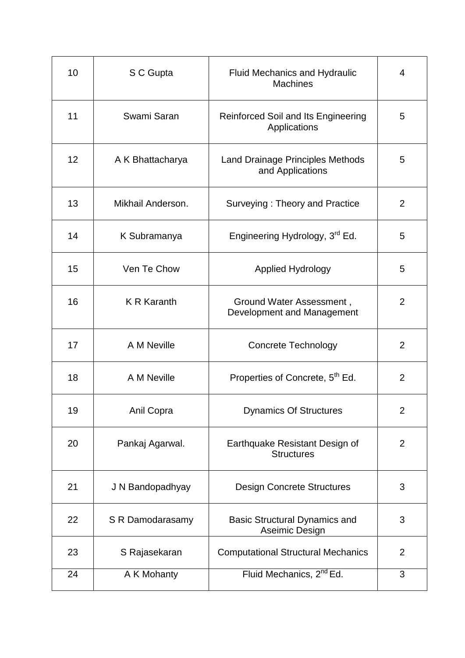| 10 | S C Gupta          | <b>Fluid Mechanics and Hydraulic</b><br><b>Machines</b>     | 4              |
|----|--------------------|-------------------------------------------------------------|----------------|
| 11 | Swami Saran        | Reinforced Soil and Its Engineering<br>Applications         | 5              |
| 12 | A K Bhattacharya   | <b>Land Drainage Principles Methods</b><br>and Applications | 5              |
| 13 | Mikhail Anderson.  | Surveying: Theory and Practice                              | 2              |
| 14 | K Subramanya       | Engineering Hydrology, 3 <sup>rd</sup> Ed.                  | 5              |
| 15 | Ven Te Chow        | <b>Applied Hydrology</b>                                    | 5              |
| 16 | <b>K R Karanth</b> | Ground Water Assessment,<br>Development and Management      | 2              |
| 17 | A M Neville        | <b>Concrete Technology</b>                                  | 2              |
| 18 | A M Neville        | Properties of Concrete, 5 <sup>th</sup> Ed.                 | 2              |
| 19 | Anil Copra         | <b>Dynamics Of Structures</b>                               | 2              |
| 20 | Pankaj Agarwal.    | Earthquake Resistant Design of<br><b>Structures</b>         | 2              |
| 21 | J N Bandopadhyay   | <b>Design Concrete Structures</b>                           | 3              |
| 22 | S R Damodarasamy   | <b>Basic Structural Dynamics and</b><br>Aseimic Design      | 3              |
| 23 | S Rajasekaran      | <b>Computational Structural Mechanics</b>                   | $\overline{2}$ |
| 24 | A K Mohanty        | Fluid Mechanics, 2 <sup>nd</sup> Ed.                        | 3              |